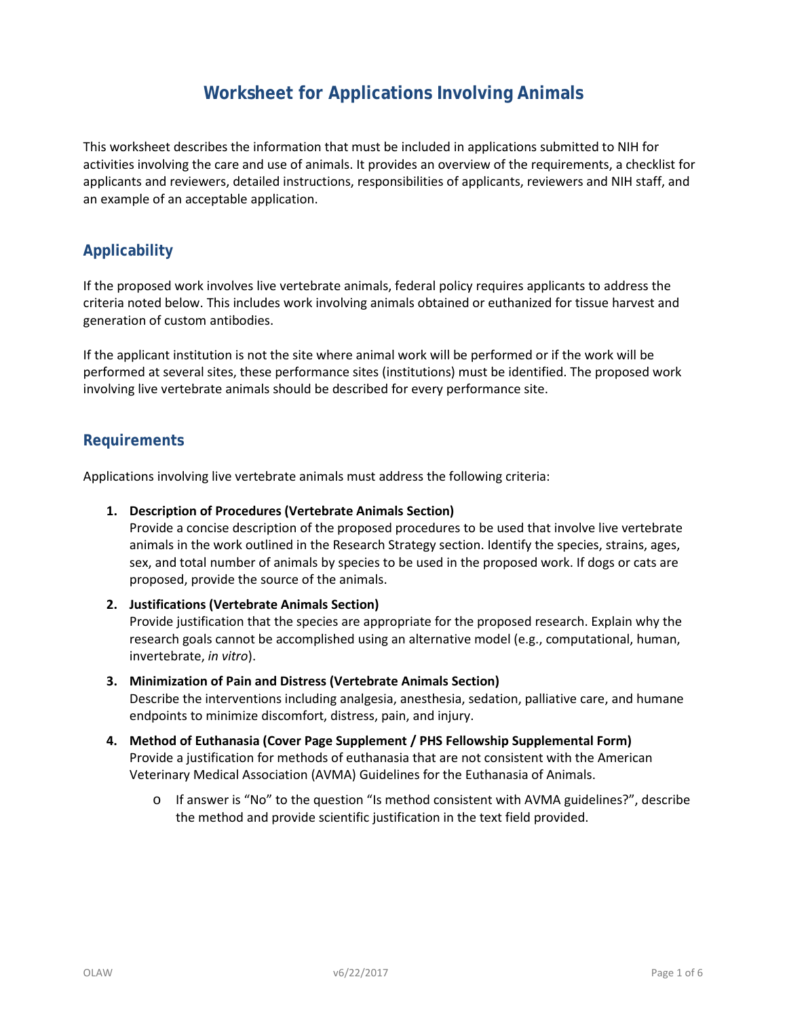# **Worksheet for Applications Involving Animals**

This worksheet describes the information that must be included in applications submitted to NIH for activities involving the care and use of animals. It provides an overview of the requirements, a checklist for applicants and reviewers, detailed instructions, responsibilities of applicants, reviewers and NIH staff, and an example of an acceptable application.

# **Applicability**

If the proposed work involves live vertebrate animals, federal policy requires applicants to address the criteria noted below. This includes work involving animals obtained or euthanized for tissue harvest and generation of custom antibodies.

If the applicant institution is not the site where animal work will be performed or if the work will be performed at several sites, these performance sites (institutions) must be identified. The proposed work involving live vertebrate animals should be described for every performance site.

### **Requirements**

Applications involving live vertebrate animals must address the following criteria:

#### **1. Description of Procedures (Vertebrate Animals Section)**

Provide a concise description of the proposed procedures to be used that involve live vertebrate animals in the work outlined in the Research Strategy section. Identify the species, strains, ages, sex, and total number of animals by species to be used in the proposed work. If dogs or cats are proposed, provide the source of the animals.

#### **2. Justifications (Vertebrate Animals Section)**

Provide justification that the species are appropriate for the proposed research. Explain why the research goals cannot be accomplished using an alternative model (e.g., computational, human, invertebrate, *in vitro*).

- **3. Minimization of Pain and Distress (Vertebrate Animals Section)** Describe the interventions including analgesia, anesthesia, sedation, palliative care, and humane endpoints to minimize discomfort, distress, pain, and injury.
- **4. Method of Euthanasia (Cover Page Supplement / PHS Fellowship Supplemental Form)**  Provide a justification for methods of euthanasia that are not consistent with the American Veterinary Medical Association (AVMA) Guidelines for the Euthanasia of Animals.
	- o If answer is "No" to the question "Is method consistent with AVMA guidelines?", describe the method and provide scientific justification in the text field provided.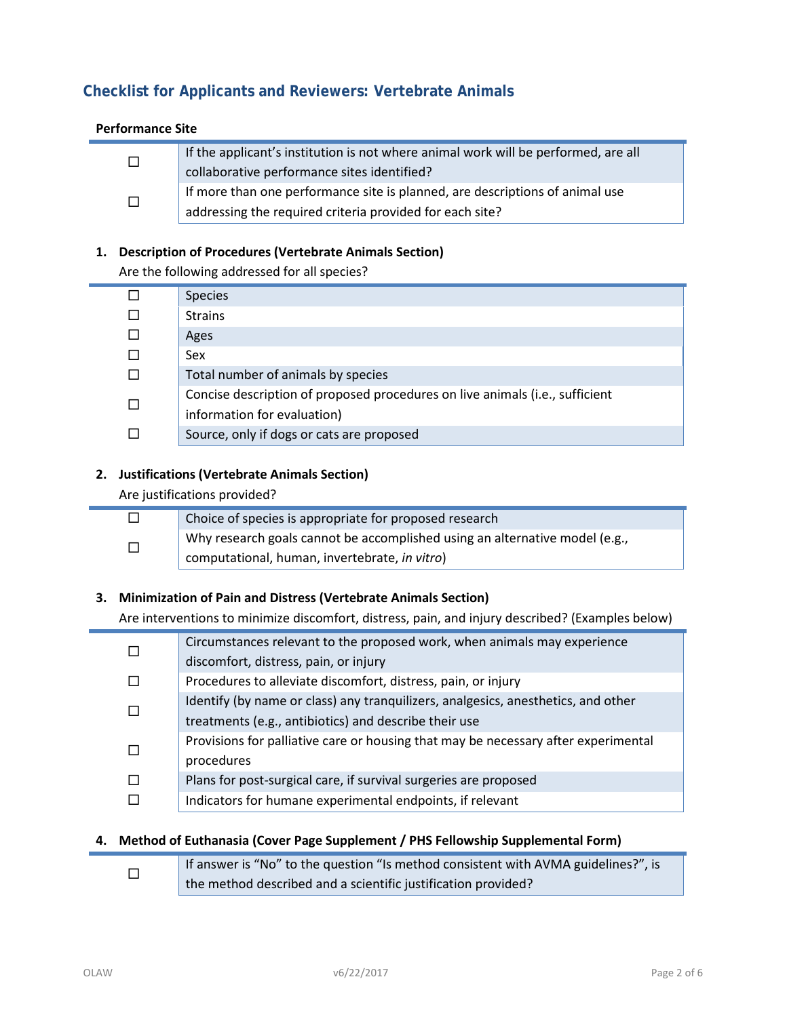# **Checklist for Applicants and Reviewers: Vertebrate Animals**

#### **Performance Site**

| If the applicant's institution is not where animal work will be performed, are all<br>collaborative performance sites identified?        |
|------------------------------------------------------------------------------------------------------------------------------------------|
| If more than one performance site is planned, are descriptions of animal use<br>addressing the required criteria provided for each site? |

#### **1. Description of Procedures (Vertebrate Animals Section)**

Are the following addressed for all species?

|  | <b>Species</b>                                                               |
|--|------------------------------------------------------------------------------|
|  | <b>Strains</b>                                                               |
|  | Ages                                                                         |
|  | Sex                                                                          |
|  | Total number of animals by species                                           |
|  | Concise description of proposed procedures on live animals (i.e., sufficient |
|  | information for evaluation)                                                  |
|  | Source, only if dogs or cats are proposed                                    |

#### **2. Justifications (Vertebrate Animals Section)**

Are justifications provided?

|  | Choice of species is appropriate for proposed research                      |
|--|-----------------------------------------------------------------------------|
|  | Why research goals cannot be accomplished using an alternative model (e.g., |
|  | computational, human, invertebrate, in vitro)                               |

### **3. Minimization of Pain and Distress (Vertebrate Animals Section)**

Are interventions to minimize discomfort, distress, pain, and injury described? (Examples below)

|  | Circumstances relevant to the proposed work, when animals may experience           |
|--|------------------------------------------------------------------------------------|
|  | discomfort, distress, pain, or injury                                              |
|  | Procedures to alleviate discomfort, distress, pain, or injury                      |
|  | Identify (by name or class) any tranquilizers, analgesics, anesthetics, and other  |
|  | treatments (e.g., antibiotics) and describe their use                              |
|  | Provisions for palliative care or housing that may be necessary after experimental |
|  | procedures                                                                         |
|  | Plans for post-surgical care, if survival surgeries are proposed                   |
|  | Indicators for humane experimental endpoints, if relevant                          |

### **4. Method of Euthanasia (Cover Page Supplement / PHS Fellowship Supplemental Form)**

|  | If answer is "No" to the question "Is method consistent with AVMA guidelines?", is |
|--|------------------------------------------------------------------------------------|
|  | the method described and a scientific justification provided?                      |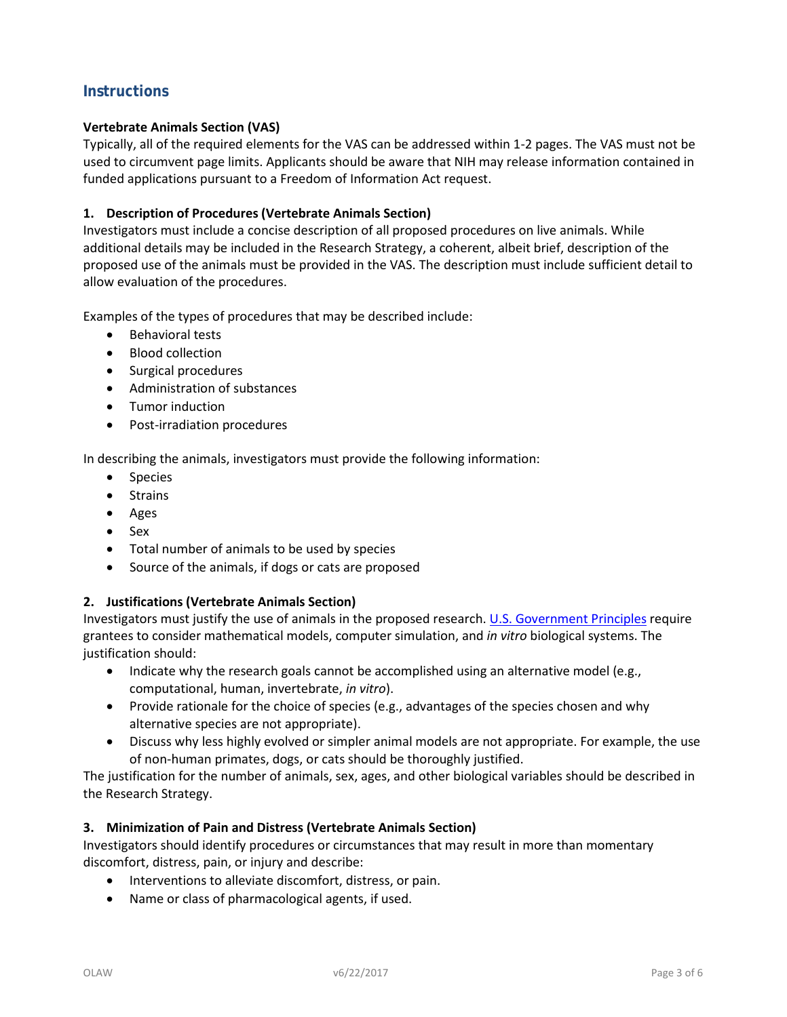# **Instructions**

#### **Vertebrate Animals Section (VAS)**

Typically, all of the required elements for the VAS can be addressed within 1-2 pages. The VAS must not be used to circumvent page limits. Applicants should be aware that NIH may release information contained in funded applications pursuant to a Freedom of Information Act request.

#### **1. Description of Procedures (Vertebrate Animals Section)**

Investigators must include a concise description of all proposed procedures on live animals. While additional details may be included in the Research Strategy, a coherent, albeit brief, description of the proposed use of the animals must be provided in the VAS. The description must include sufficient detail to allow evaluation of the procedures.

Examples of the types of procedures that may be described include:

- Behavioral tests
- Blood collection
- Surgical procedures
- Administration of substances
- Tumor induction
- Post-irradiation procedures

In describing the animals, investigators must provide the following information:

- Species
- Strains
- Ages
- Sex
- Total number of animals to be used by species
- Source of the animals, if dogs or cats are proposed

#### **2. Justifications (Vertebrate Animals Section)**

Investigators must justify the use of animals in the proposed research. [U.S. Government Principles](http://grants.nih.gov/grants/olaw/references/phspol.htm#USGovPrinciples) require grantees to consider mathematical models, computer simulation, and *in vitro* biological systems. The justification should:

- Indicate why the research goals cannot be accomplished using an alternative model (e.g., computational, human, invertebrate, *in vitro*).
- Provide rationale for the choice of species (e.g., advantages of the species chosen and why alternative species are not appropriate).
- Discuss why less highly evolved or simpler animal models are not appropriate. For example, the use of non-human primates, dogs, or cats should be thoroughly justified.

The justification for the number of animals, sex, ages, and other biological variables should be described in the Research Strategy.

#### **3. Minimization of Pain and Distress (Vertebrate Animals Section)**

Investigators should identify procedures or circumstances that may result in more than momentary discomfort, distress, pain, or injury and describe:

- Interventions to alleviate discomfort, distress, or pain.
- Name or class of pharmacological agents, if used.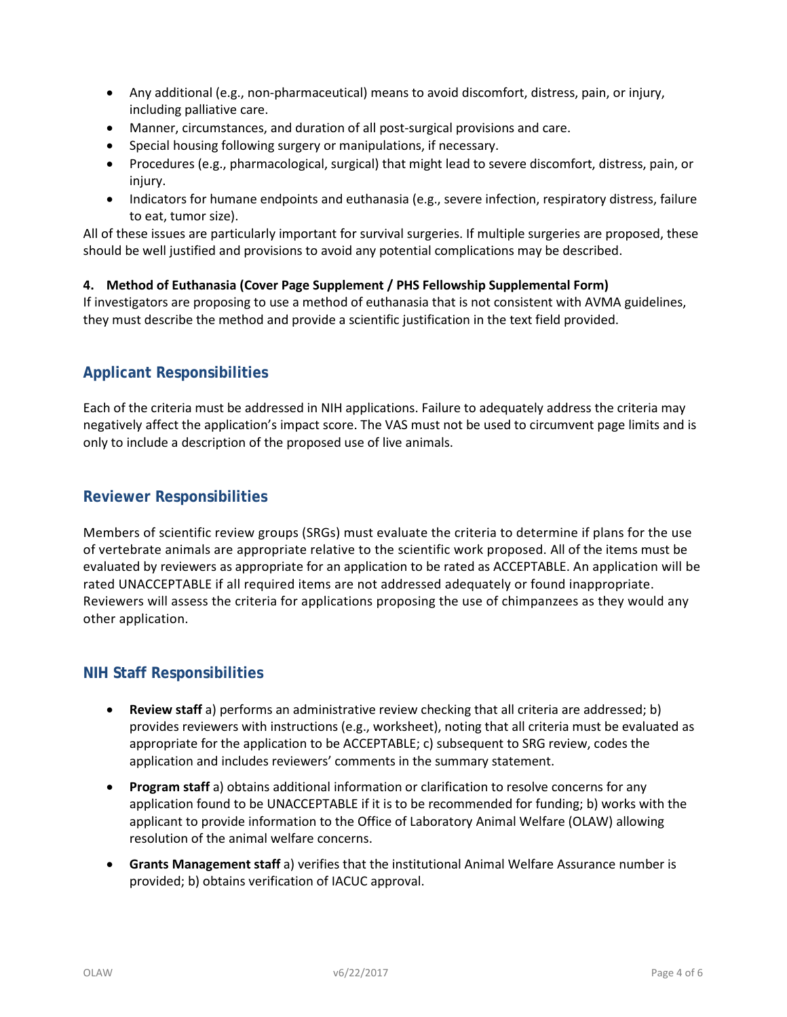- Any additional (e.g., non-pharmaceutical) means to avoid discomfort, distress, pain, or injury, including palliative care.
- Manner, circumstances, and duration of all post-surgical provisions and care.
- Special housing following surgery or manipulations, if necessary.
- Procedures (e.g., pharmacological, surgical) that might lead to severe discomfort, distress, pain, or injury.
- Indicators for humane endpoints and euthanasia (e.g., severe infection, respiratory distress, failure to eat, tumor size).

All of these issues are particularly important for survival surgeries. If multiple surgeries are proposed, these should be well justified and provisions to avoid any potential complications may be described.

### **4. Method of Euthanasia (Cover Page Supplement / PHS Fellowship Supplemental Form)**

If investigators are proposing to use a method of euthanasia that is not consistent with AVMA guidelines, they must describe the method and provide a scientific justification in the text field provided.

# **Applicant Responsibilities**

Each of the criteria must be addressed in NIH applications. Failure to adequately address the criteria may negatively affect the application's impact score. The VAS must not be used to circumvent page limits and is only to include a description of the proposed use of live animals.

## **Reviewer Responsibilities**

Members of scientific review groups (SRGs) must evaluate the criteria to determine if plans for the use of vertebrate animals are appropriate relative to the scientific work proposed. All of the items must be evaluated by reviewers as appropriate for an application to be rated as ACCEPTABLE. An application will be rated UNACCEPTABLE if all required items are not addressed adequately or found inappropriate. Reviewers will assess the criteria for applications proposing the use of chimpanzees as they would any other application.

## **NIH Staff Responsibilities**

- **Review staff** a) performs an administrative review checking that all criteria are addressed; b) provides reviewers with instructions (e.g., worksheet), noting that all criteria must be evaluated as appropriate for the application to be ACCEPTABLE; c) subsequent to SRG review, codes the application and includes reviewers' comments in the summary statement.
- **Program staff** a) obtains additional information or clarification to resolve concerns for any application found to be UNACCEPTABLE if it is to be recommended for funding; b) works with the applicant to provide information to the Office of Laboratory Animal Welfare (OLAW) allowing resolution of the animal welfare concerns.
- **Grants Management staff** a) verifies that the institutional Animal Welfare Assurance number is provided; b) obtains verification of IACUC approval.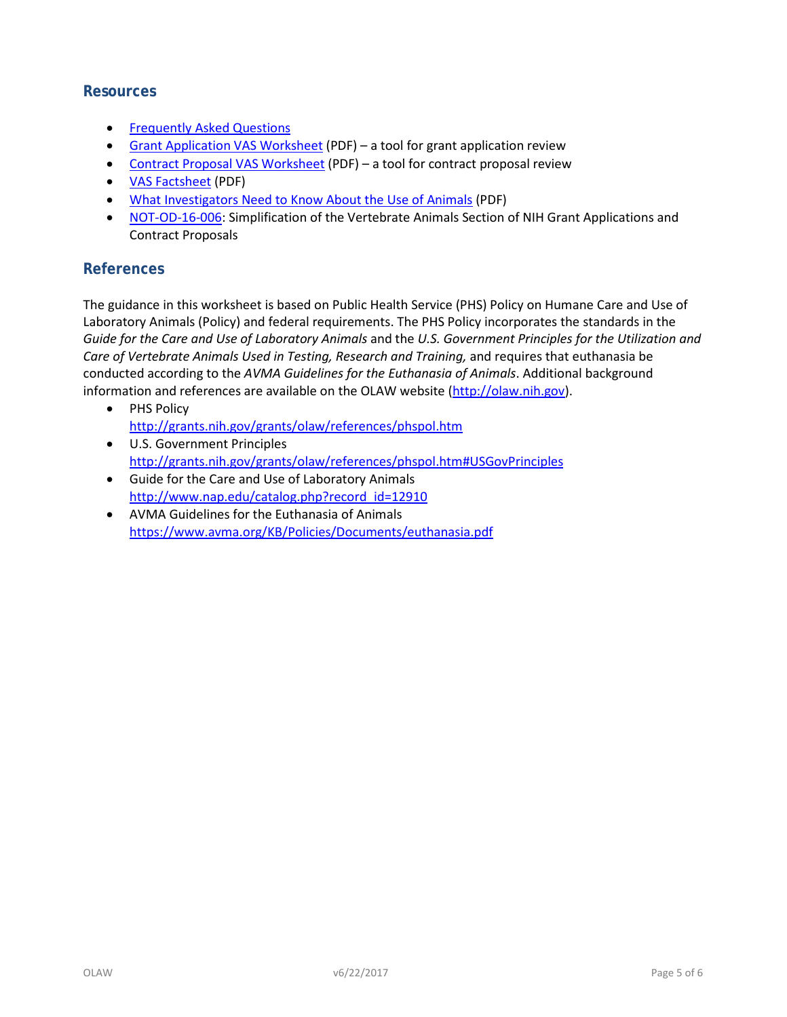### **Resources**

- [Frequently Asked Questions](http://grants.nih.gov/grants/olaw/vertebrate_animal_section_faq.htm)
- [Grant Application VAS Worksheet](http://grants.nih.gov/grants/olaw/VASchecklist.pdf) (PDF) a tool for grant application review
- [Contract Proposal VAS Worksheet](http://grants.nih.gov/grants/olaw/VAScontracts.pdf) (PDF) a tool for contract proposal review
- [VAS Factsheet](http://grants.nih.gov/grants/olaw/VASfactsheet.pdf) (PDF)
- [What Investigators Need to Know About the Use of Animals](http://grants.nih.gov/grants/olaw/InvestigatorsNeed2Know.pdf) (PDF)
- [NOT-OD-16-006:](http://grants.nih.gov/grants/guide/notice-files/NOT-OD-16-006.html) Simplification of the Vertebrate Animals Section of NIH Grant Applications and Contract Proposals

# **References**

The guidance in this worksheet is based on Public Health Service (PHS) Policy on Humane Care and Use of Laboratory Animals (Policy) and federal requirements. The PHS Policy incorporates the standards in the *Guide for the Care and Use of Laboratory Animals* and the *U.S. Government Principles for the Utilization and Care of Vertebrate Animals Used in Testing, Research and Training,* and requires that euthanasia be conducted according to the *AVMA Guidelines for the Euthanasia of Animals*. Additional background information and references are available on the OLAW website [\(http://olaw.nih.gov\)](http://olaw.nih.gov/).

- PHS Policy <http://grants.nih.gov/grants/olaw/references/phspol.htm>
- U.S. Government Principles <http://grants.nih.gov/grants/olaw/references/phspol.htm#USGovPrinciples>
- Guide for the Care and Use of Laboratory Animals [http://www.nap.edu/catalog.php?record\\_id=12910](http://www.nap.edu/catalog.php?record_id=12910)
- AVMA Guidelines for the Euthanasia of Animals <https://www.avma.org/KB/Policies/Documents/euthanasia.pdf>